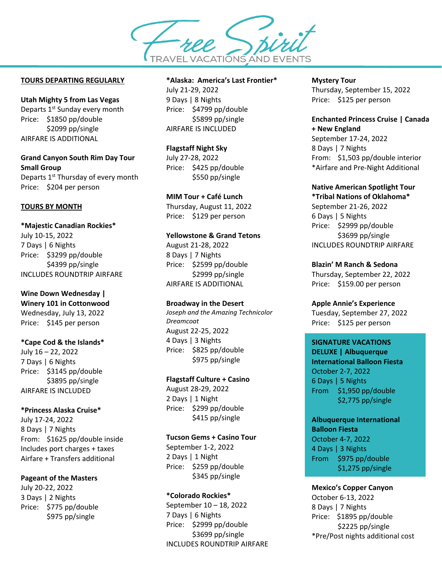**TRAVEL VACATIONS AND EVENTS** 

#### **TOURS DEPARTING REGULARLY**

### **Utah Mighty 5 from Las Vegas**

Departs 1<sup>st</sup> Sunday every month Price: \$1850 pp/double \$2099 pp/single AIRFARE IS ADDITIONAL

### **Grand Canyon South Rim Day Tour Small Group** Departs 1<sup>st</sup> Thursday of every month

Price: \$204 per person

# **TOURS BY MONTH**

# **\*Majestic Canadian Rockies\***  July 10-15, 2022 7 Days | 6 Nights Price: \$3299 pp/double \$4399 pp/single INCLUDES ROUNDTRIP AIRFARE

# **Wine Down Wednesday | Winery 101 in Cottonwood**

Wednesday, July 13, 2022 Price: \$145 per person

### **\*Cape Cod & the Islands\***

July 16 – 22, 2022 7 Days | 6 Nights Price: \$3145 pp/double \$3895 pp/single AIRFARE IS INCLUDED

### **\*Princess Alaska Cruise\***

July 17-24, 2022 8 Days | 7 Nights From: \$1625 pp/double inside Includes port charges + taxes Airfare + Transfers additional

### **Pageant of the Masters**

July 20-22, 2022 3 Days | 2 Nights Price: \$775 pp/double \$975 pp/single

### **\*Alaska: America's Last Frontier\***

July 21-29, 2022 9 Days | 8 Nights Price: \$4799 pp/double \$5899 pp/single AIRFARE IS INCLUDED

#### **Flagstaff Night Sky**

July 27-28, 2022 Price: \$425 pp/double \$550 pp/single

### **MIM Tour + Café Lunch**

Thursday, August 11, 2022 Price: \$129 per person

# **Yellowstone & Grand Tetons**

August 21-28, 2022 8 Days | 7 Nights Price: \$2599 pp/double \$2999 pp/single AIRFARE IS ADDITIONAL

### **Broadway in the Desert**

*Joseph and the Amazing Technicolor Dreamcoat* August 22-25, 2022 4 Days | 3 Nights Price: \$825 pp/double \$975 pp/single

### **Flagstaff Culture + Casino**

August 28-29, 2022 2 Days | 1 Night Price: \$299 pp/double \$415 pp/single

### **Tucson Gems + Casino Tour**

September 1-2, 2022 2 Days | 1 Night Price: \$259 pp/double \$345 pp/single

### **\*Colorado Rockies\***

September 10 – 18, 2022 7 Days | 6 Nights Price: \$2999 pp/double \$3699 pp/single INCLUDES ROUNDTRIP AIRFARE

#### **Mystery Tour**

Thursday, September 15, 2022 Price: \$125 per person

# **Enchanted Princess Cruise | Canada + New England**

September 17-24, 2022 8 Days | 7 Nights From: \$1,503 pp/double interior \*Airfare and Pre-Night Additional

### **Native American Spotlight Tour**

**\*Tribal Nations of Oklahoma\*** September 21-26, 2022 6 Days | 5 Nights Price: \$2999 pp/double \$3699 pp/single INCLUDES ROUNDTRIP AIRFARE

### **Blazin' M Ranch & Sedona**

Thursday, September 22, 2022 Price: \$159.00 per person

### **Apple Annie's Experience**

Tuesday, September 27, 2022 Price: \$125 per person

## **SIGNATURE VACATIONS**

**DELUXE | Albuquerque International Balloon Fiesta** October 2-7, 2022 6 Days | 5 Nights From \$1,950 pp/double \$2,775 pp/single

# **Albuquerque International**

**Balloon Fiesta** October 4-7, 2022 4 Days | 3 Nights From \$975 pp/double \$1,275 pp/single

### **Mexico's Copper Canyon**

October 6-13, 2022 8 Days | 7 Nights Price: \$1895 pp/double \$2225 pp/single \*Pre/Post nights additional cost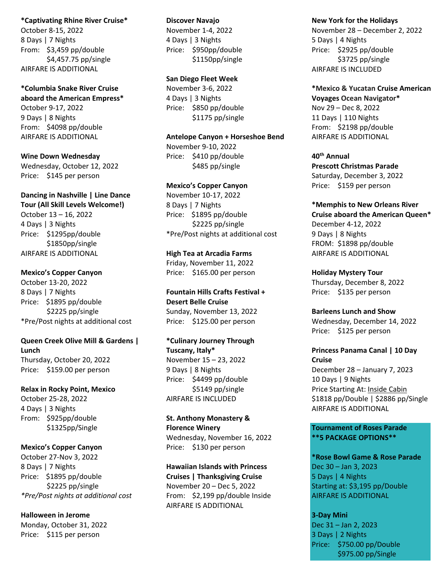#### **\*Captivating Rhine River Cruise\***

October 8-15, 2022 8 Days | 7 Nights From: \$3,459 pp/double \$4,457.75 pp/single AIRFARE IS ADDITIONAL

**\*Columbia Snake River Cruise aboard the American Empress\*** October 9-17, 2022 9 Days | 8 Nights From: \$4098 pp/double AIRFARE IS ADDITIONAL

**Wine Down Wednesday** Wednesday, October 12, 2022 Price: \$145 per person

**Dancing in Nashville | Line Dance Tour (All Skill Levels Welcome!)**

October 13 – 16, 2022 4 Days | 3 Nights Price: \$1295pp/double \$1850pp/single AIRFARE IS ADDITIONAL

### **Mexico's Copper Canyon**

October 13-20, 2022 8 Days | 7 Nights Price: \$1895 pp/double \$2225 pp/single \*Pre/Post nights at additional cost

# **Queen Creek Olive Mill & Gardens | Lunch**

Thursday, October 20, 2022 Price: \$159.00 per person

**Relax in Rocky Point, Mexico**

October 25-28, 2022 4 Days | 3 Nights From: \$925pp/double \$1325pp/Single

**Mexico's Copper Canyon**

October 27-Nov 3, 2022 8 Days | 7 Nights Price: \$1895 pp/double \$2225 pp/single *\*Pre/Post nights at additional cost*

**Halloween in Jerome** Monday, October 31, 2022 Price: \$115 per person

#### **Discover Navajo**

November 1-4, 2022 4 Days | 3 Nights Price: \$950pp/double \$1150pp/single

### **San Diego Fleet Week**

November 3-6, 2022 4 Days | 3 Nights Price: \$850 pp/double \$1175 pp/single

#### **Antelope Canyon + Horseshoe Bend**

November 9-10, 2022 Price: \$410 pp/double \$485 pp/single

#### **Mexico's Copper Canyon**

November 10-17, 2022 8 Days | 7 Nights Price: \$1895 pp/double \$2225 pp/single \*Pre/Post nights at additional cost

**High Tea at Arcadia Farms**

Friday, November 11, 2022 Price: \$165.00 per person

**Fountain Hills Crafts Festival + Desert Belle Cruise** Sunday, November 13, 2022 Price: \$125.00 per person

**\*Culinary Journey Through Tuscany, Italy\*** November 15 – 23, 2022 9 Days | 8 Nights Price: \$4499 pp/double \$5149 pp/single AIRFARE IS INCLUDED

**St. Anthony Monastery & Florence Winery** Wednesday, November 16, 2022 Price: \$130 per person

**Hawaiian Islands with Princess Cruises | Thanksgiving Cruise** November 20 – Dec 5, 2022 From: \$2,199 pp/double Inside AIRFARE IS ADDITIONAL

### **New York for the Holidays**

November 28 – December 2, 2022 5 Days | 4 Nights Price: \$2925 pp/double \$3725 pp/single AIRFARE IS INCLUDED

**\*Mexico & Yucatan Cruise American Voyages Ocean Navigator\***  Nov 29 – Dec 8, 2022 11 Days | 110 Nights From: \$2198 pp/double AIRFARE IS ADDITIONAL

**40th Annual Prescott Christmas Parade** Saturday, December 3, 2022 Price: \$159 per person

### **\*Memphis to New Orleans River Cruise aboard the American Queen\***

December 4-12, 2022 9 Days | 8 Nights FROM: \$1898 pp/double AIRFARE IS ADDITIONAL

**Holiday Mystery Tour** Thursday, December 8, 2022 Price: \$135 per person

**Barleens Lunch and Show** Wednesday, December 14, 2022 Price: \$125 per person

**Princess Panama Canal | 10 Day Cruise** December 28 – January 7, 2023 10 Days | 9 Nights Price Starting At: Inside Cabin \$1818 pp/Double | \$2886 pp/Single AIRFARE IS ADDITIONAL

## **Tournament of Roses Parade \*\*5 PACKAGE OPTIONS\*\***

**\*Rose Bowl Game & Rose Parade** Dec 30 – Jan 3, 2023 5 Days | 4 Nights Starting at: \$3,195 pp/Double AIRFARE IS ADDITIONAL

**3-Day Mini** Dec 31 – Jan 2, 2023 3 Days | 2 Nights Price: \$750.00 pp/Double \$975.00 pp/Single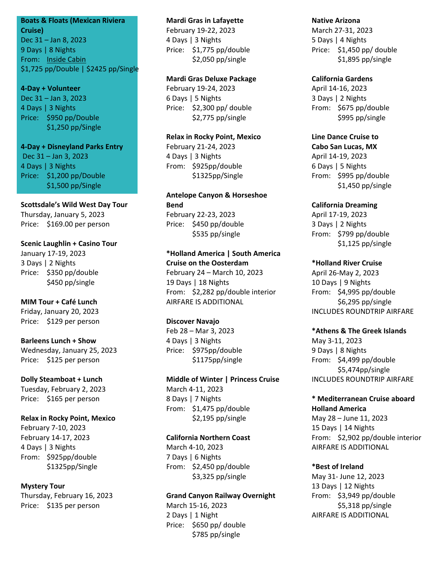# **Boats & Floats (Mexican Riviera**

**Cruise)** Dec 31 – Jan 8, 2023 9 Days | 8 Nights From: Inside Cabin \$1,725 pp/Double | \$2425 pp/Single

### **4-Day + Volunteer**

Dec 31 – Jan 3, 2023 4 Days | 3 Nights Price: \$950 pp/Double \$1,250 pp/Single

# **4-Day + Disneyland Parks Entry** Dec 31 – Jan 3, 2023 4 Days | 3 Nights Price: \$1,200 pp/Double \$1,500 pp/Single

**Scottsdale's Wild West Day Tour** Thursday, January 5, 2023 Price: \$169.00 per person

### **Scenic Laughlin + Casino Tour**

January 17-19, 2023 3 Days | 2 Nights Price: \$350 pp/double \$450 pp/single

# **MIM Tour + Café Lunch**

Friday, January 20, 2023 Price: \$129 per person

### **Barleens Lunch + Show** Wednesday, January 25, 2023

Price: \$125 per person

### **Dolly Steamboat + Lunch**

Tuesday, February 2, 2023 Price: \$165 per person

### **Relax in Rocky Point, Mexico**

February 7-10, 2023 February 14-17, 2023 4 Days | 3 Nights From: \$925pp/double \$1325pp/Single

### **Mystery Tour**

Thursday, February 16, 2023 Price: \$135 per person

### **Mardi Gras in Lafayette**

February 19-22, 2023 4 Days | 3 Nights Price: \$1,775 pp/double \$2,050 pp/single

### **Mardi Gras Deluxe Package**

February 19-24, 2023 6 Days | 5 Nights Price: \$2,300 pp/ double \$2,775 pp/single

#### **Relax in Rocky Point, Mexico**

February 21-24, 2023 4 Days | 3 Nights From: \$925pp/double \$1325pp/Single

# **Antelope Canyon & Horseshoe Bend**  February 22-23, 2023

Price: \$450 pp/double \$535 pp/single

### **\*Holland America | South America Cruise on the Oosterdam** February 24 – March 10, 2023

19 Days | 18 Nights From: \$2,282 pp/double interior AIRFARE IS ADDITIONAL

### **Discover Navajo**

Feb 28 – Mar 3, 2023 4 Days | 3 Nights Price: \$975pp/double \$1175pp/single

### **Middle of Winter | Princess Cruise** March 4-11, 2023 8 Days | 7 Nights

From: \$1,475 pp/double \$2,195 pp/single

### **California Northern Coast**

March 4-10, 2023 7 Days | 6 Nights From: \$2,450 pp/double \$3,325 pp/single

### **Grand Canyon Railway Overnight**

March 15-16, 2023 2 Days | 1 Night Price: \$650 pp/ double \$785 pp/single

### **Native Arizona**

March 27-31, 2023 5 Days | 4 Nights Price: \$1,450 pp/ double \$1,895 pp/single

### **California Gardens**

April 14-16, 2023 3 Days | 2 Nights From: \$675 pp/double \$995 pp/single

### **Line Dance Cruise to**

**Cabo San Lucas, MX** April 14-19, 2023 6 Days | 5 Nights From: \$995 pp/double \$1,450 pp/single

### **California Dreaming**

April 17-19, 2023 3 Days | 2 Nights From: \$799 pp/double \$1,125 pp/single

# **\*Holland River Cruise**

April 26-May 2, 2023 10 Days | 9 Nights From: \$4,995 pp/double \$6,295 pp/single INCLUDES ROUNDTRIP AIRFARE

### **\*Athens & The Greek Islands**

May 3-11, 2023 9 Days | 8 Nights From: \$4,499 pp/double \$5,474pp/single INCLUDES ROUNDTRIP AIRFARE

# **\* Mediterranean Cruise aboard Holland America**

May 28 – June 11, 2023 15 Days | 14 Nights From: \$2,902 pp/double interior AIRFARE IS ADDITIONAL

# **\*Best of Ireland**

May 31- June 12, 2023 13 Days | 12 Nights From: \$3,949 pp/double \$5,318 pp/single AIRFARE IS ADDITIONAL